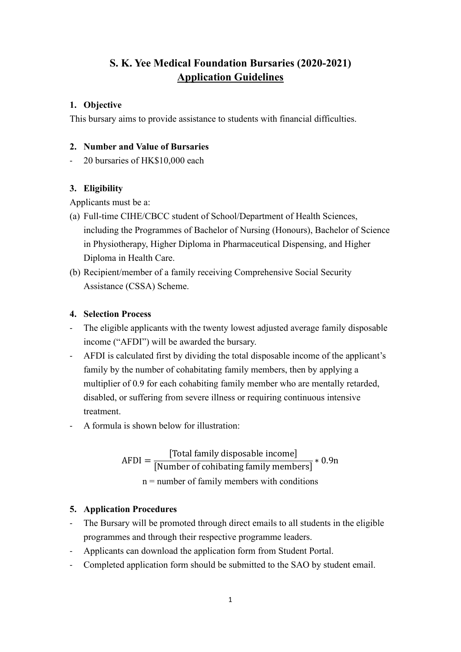# **S. K. Yee Medical Foundation Bursaries (2020-2021) Application Guidelines**

## **1. Objective**

This bursary aims to provide assistance to students with financial difficulties.

#### **2. Number and Value of Bursaries**

20 bursaries of HK\$10,000 each

### **3. Eligibility**

Applicants must be a:

- (a) Full-time CIHE/CBCC student of School/Department of Health Sciences, including the Programmes of Bachelor of Nursing (Honours), Bachelor of Science in Physiotherapy, Higher Diploma in Pharmaceutical Dispensing, and Higher Diploma in Health Care.
- (b) Recipient/member of a family receiving Comprehensive Social Security Assistance (CSSA) Scheme.

#### **4. Selection Process**

- The eligible applicants with the twenty lowest adjusted average family disposable income ("AFDI") will be awarded the bursary.
- AFDI is calculated first by dividing the total disposable income of the applicant's family by the number of cohabitating family members, then by applying a multiplier of 0.9 for each cohabiting family member who are mentally retarded, disabled, or suffering from severe illness or requiring continuous intensive treatment.
- A formula is shown below for illustration:

 $AFDI = \frac{[Total family disposable income]}{[Number of cobibating family memb}$ [Number of cohibating family members] ∗ 0.9n  $n =$  number of family members with conditions

#### **5. Application Procedures**

- The Bursary will be promoted through direct emails to all students in the eligible programmes and through their respective programme leaders.
- Applicants can download the application form from Student Portal.
- Completed application form should be submitted to the SAO by student email.